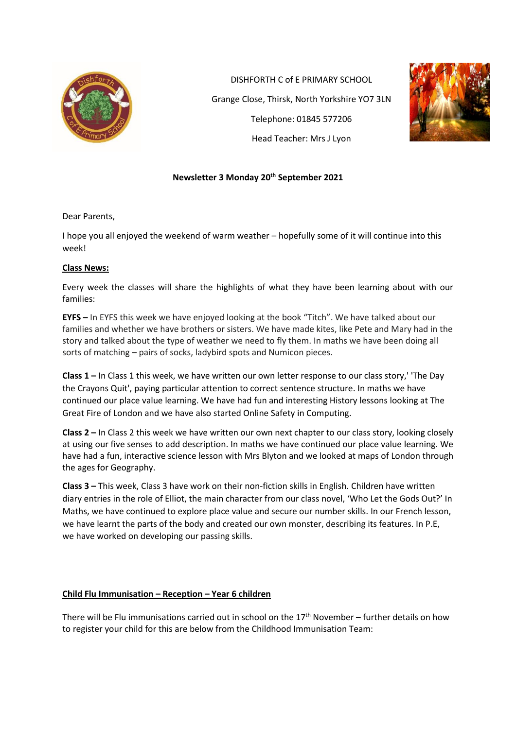

DISHFORTH C of E PRIMARY SCHOOL Grange Close, Thirsk, North Yorkshire YO7 3LN Telephone: 01845 577206 Head Teacher: Mrs J Lyon



## **Newsletter 3 Monday 20th September 2021**

Dear Parents,

I hope you all enjoyed the weekend of warm weather – hopefully some of it will continue into this week!

#### **Class News:**

Every week the classes will share the highlights of what they have been learning about with our families:

**EYFS –** In EYFS this week we have enjoyed looking at the book "Titch". We have talked about our families and whether we have brothers or sisters. We have made kites, like Pete and Mary had in the story and talked about the type of weather we need to fly them. In maths we have been doing all sorts of matching – pairs of socks, ladybird spots and Numicon pieces.

**Class 1 –** In Class 1 this week, we have written our own letter response to our class story,' 'The Day the Crayons Quit', paying particular attention to correct sentence structure. In maths we have continued our place value learning. We have had fun and interesting History lessons looking at The Great Fire of London and we have also started Online Safety in Computing.

**Class 2 –** In Class 2 this week we have written our own next chapter to our class story, looking closely at using our five senses to add description. In maths we have continued our place value learning. We have had a fun, interactive science lesson with Mrs Blyton and we looked at maps of London through the ages for Geography.

**Class 3 –** This week, Class 3 have work on their non-fiction skills in English. Children have written diary entries in the role of Elliot, the main character from our class novel, 'Who Let the Gods Out?' In Maths, we have continued to explore place value and secure our number skills. In our French lesson, we have learnt the parts of the body and created our own monster, describing its features. In P.E, we have worked on developing our passing skills.

## **Child Flu Immunisation – Reception – Year 6 children**

There will be Flu immunisations carried out in school on the 17<sup>th</sup> November – further details on how to register your child for this are below from the Childhood Immunisation Team: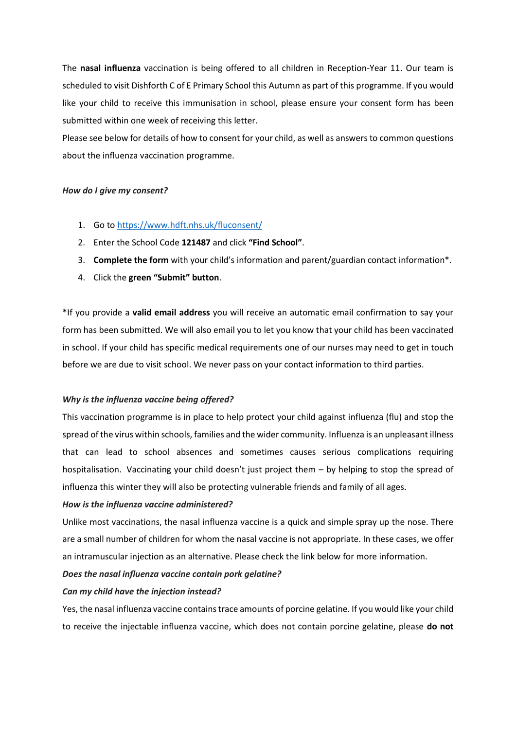The **nasal influenza** vaccination is being offered to all children in Reception-Year 11. Our team is scheduled to visit Dishforth C of E Primary School this Autumn as part of this programme. If you would like your child to receive this immunisation in school, please ensure your consent form has been submitted within one week of receiving this letter.

Please see below for details of how to consent for your child, as well as answers to common questions about the influenza vaccination programme.

#### *How do I give my consent?*

- 1. Go to [https://www.hdft.nhs.uk/fluconsent/](https://www.hdft.nhs.uk/fluconsent)
- 2. Enter the School Code **121487** and click **"Find School"**.
- 3. **Complete the form** with your child's information and parent/guardian contact information\*.
- 4. Click the **green "Submit" button**.

\*If you provide a **valid email address** you will receive an automatic email confirmation to say your form has been submitted. We will also email you to let you know that your child has been vaccinated in school. If your child has specific medical requirements one of our nurses may need to get in touch before we are due to visit school. We never pass on your contact information to third parties.

#### *Why is the influenza vaccine being offered?*

This vaccination programme is in place to help protect your child against influenza (flu) and stop the spread of the virus within schools, families and the wider community. Influenza is an unpleasant illness that can lead to school absences and sometimes causes serious complications requiring hospitalisation. Vaccinating your child doesn't just project them – by helping to stop the spread of influenza this winter they will also be protecting vulnerable friends and family of all ages.

#### *How is the influenza vaccine administered?*

Unlike most vaccinations, the nasal influenza vaccine is a quick and simple spray up the nose. There are a small number of children for whom the nasal vaccine is not appropriate. In these cases, we offer an intramuscular injection as an alternative. Please check the link below for more information.

#### *Does the nasal influenza vaccine contain pork gelatine?*

#### *Can my child have the injection instead?*

Yes, the nasal influenza vaccine contains trace amounts of porcine gelatine. If you would like your child to receive the injectable influenza vaccine, which does not contain porcine gelatine, please **do not**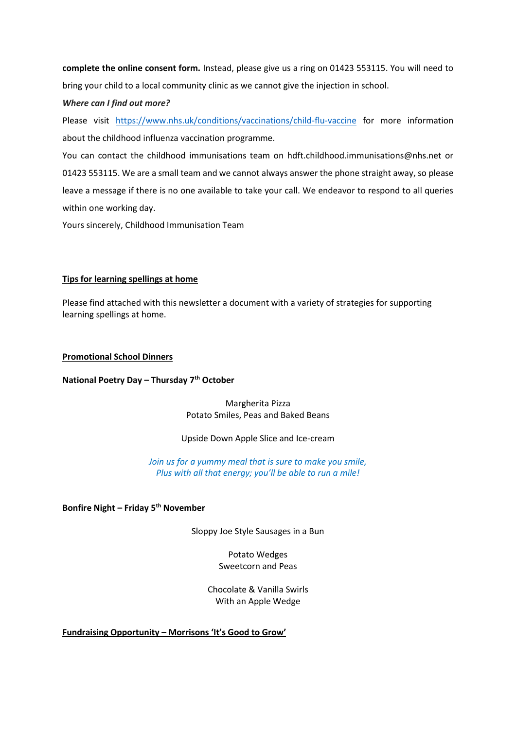**complete the online consent form.** Instead, please give us a ring on 01423 553115. You will need to bring your child to a local community clinic as we cannot give the injection in school.

### *Where can I find out more?*

Please visit <https://www.nhs.uk/conditions/vaccinations/child-flu-vaccine> for more information about the childhood influenza vaccination programme.

You can contact the childhood immunisations team on hdft.childhood.immunisations@nhs.net or 01423 553115. We are a small team and we cannot always answer the phone straight away, so please leave a message if there is no one available to take your call. We endeavor to respond to all queries within one working day.

Yours sincerely, Childhood Immunisation Team

### **Tips for learning spellings at home**

Please find attached with this newsletter a document with a variety of strategies for supporting learning spellings at home.

#### **Promotional School Dinners**

#### **National Poetry Day – Thursday 7th October**

Margherita Pizza Potato Smiles, Peas and Baked Beans

#### Upside Down Apple Slice and Ice-cream

*Join us for a yummy meal that is sure to make you smile, Plus with all that energy; you'll be able to run a mile!*

**Bonfire Night – Friday 5th November**

Sloppy Joe Style Sausages in a Bun

Potato Wedges Sweetcorn and Peas

Chocolate & Vanilla Swirls With an Apple Wedge

**Fundraising Opportunity – Morrisons 'It's Good to Grow'**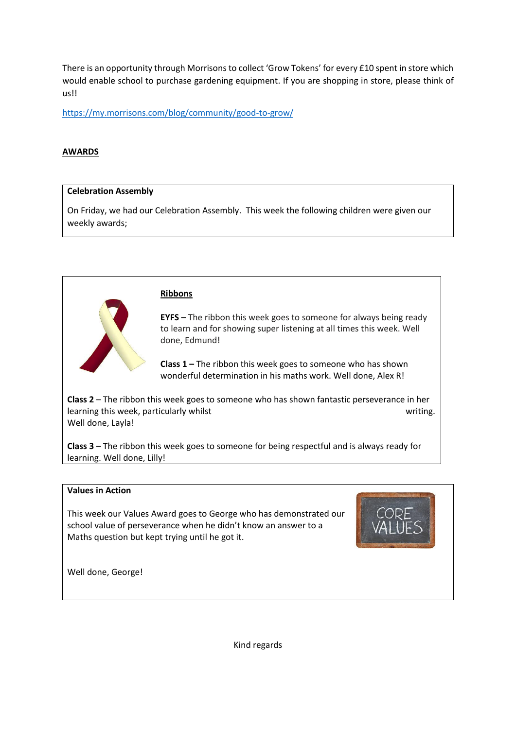There is an opportunity through Morrisons to collect 'Grow Tokens' for every £10 spent in store which would enable school to purchase gardening equipment. If you are shopping in store, please think of us!!

<https://my.morrisons.com/blog/community/good-to-grow/>

## **AWARDS**

#### **Celebration Assembly**

On Friday, we had our Celebration Assembly. This week the following children were given our weekly awards;



#### **Ribbons**

**EYFS** – The ribbon this week goes to someone for always being ready to learn and for showing super listening at all times this week. Well done, Edmund!

**Class 1 –** The ribbon this week goes to someone who has shown wonderful determination in his maths work. Well done, Alex R!

**Class 2** – The ribbon this week goes to someone who has shown fantastic perseverance in her learning this week, particularly whilst writing. Well done, Layla!

**Class 3** – The ribbon this week goes to someone for being respectful and is always ready for learning. Well done, Lilly!

## **Values in Action**

This week our Values Award goes to George who has demonstrated our school value of perseverance when he didn't know an answer to a Maths question but kept trying until he got it.



Well done, George!

Kind regards